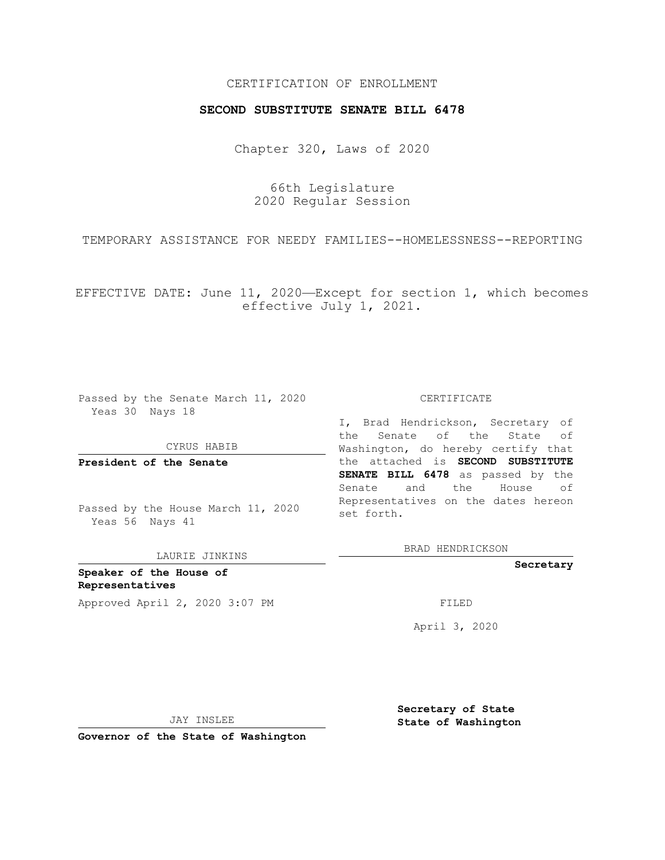## CERTIFICATION OF ENROLLMENT

## **SECOND SUBSTITUTE SENATE BILL 6478**

Chapter 320, Laws of 2020

66th Legislature 2020 Regular Session

TEMPORARY ASSISTANCE FOR NEEDY FAMILIES--HOMELESSNESS--REPORTING

EFFECTIVE DATE: June 11, 2020—Except for section 1, which becomes effective July 1, 2021.

Passed by the Senate March 11, 2020 Yeas 30 Nays 18

CYRUS HABIB

**President of the Senate**

Passed by the House March 11, 2020 Yeas 56 Nays 41

LAURIE JINKINS

**Speaker of the House of Representatives** Approved April 2, 2020 3:07 PM

CERTIFICATE

I, Brad Hendrickson, Secretary of the Senate of the State of Washington, do hereby certify that the attached is **SECOND SUBSTITUTE SENATE BILL 6478** as passed by the Senate and the House of Representatives on the dates hereon set forth.

BRAD HENDRICKSON

**Secretary**

April 3, 2020

JAY INSLEE

**Secretary of State State of Washington**

**Governor of the State of Washington**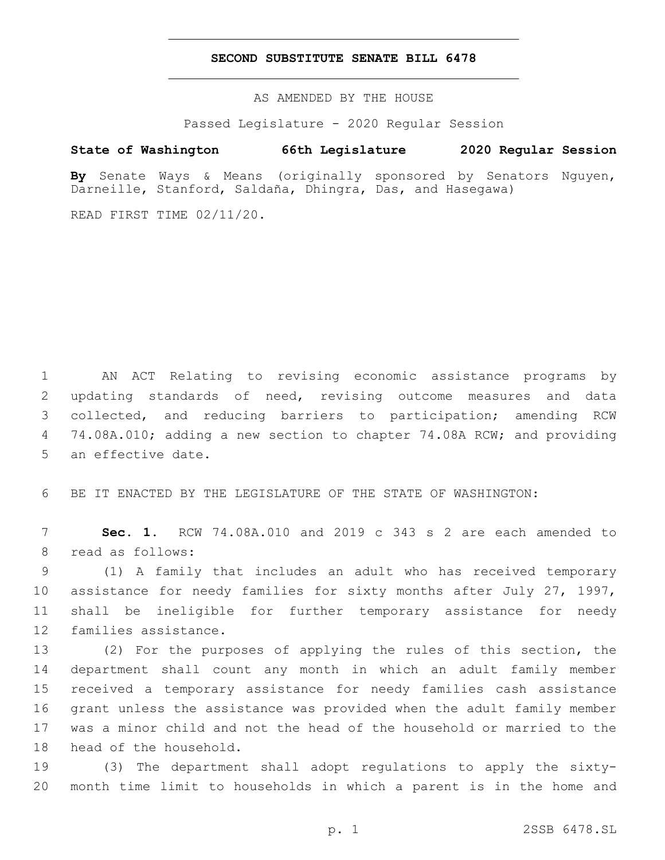## **SECOND SUBSTITUTE SENATE BILL 6478**

AS AMENDED BY THE HOUSE

Passed Legislature - 2020 Regular Session

## **State of Washington 66th Legislature 2020 Regular Session**

**By** Senate Ways & Means (originally sponsored by Senators Nguyen, Darneille, Stanford, Saldaña, Dhingra, Das, and Hasegawa)

READ FIRST TIME 02/11/20.

 AN ACT Relating to revising economic assistance programs by updating standards of need, revising outcome measures and data collected, and reducing barriers to participation; amending RCW 74.08A.010; adding a new section to chapter 74.08A RCW; and providing 5 an effective date.

6 BE IT ENACTED BY THE LEGISLATURE OF THE STATE OF WASHINGTON:

7 **Sec. 1.** RCW 74.08A.010 and 2019 c 343 s 2 are each amended to 8 read as follows:

 (1) A family that includes an adult who has received temporary assistance for needy families for sixty months after July 27, 1997, shall be ineligible for further temporary assistance for needy 12 families assistance.

 (2) For the purposes of applying the rules of this section, the department shall count any month in which an adult family member received a temporary assistance for needy families cash assistance grant unless the assistance was provided when the adult family member was a minor child and not the head of the household or married to the 18 head of the household.

19 (3) The department shall adopt regulations to apply the sixty-20 month time limit to households in which a parent is in the home and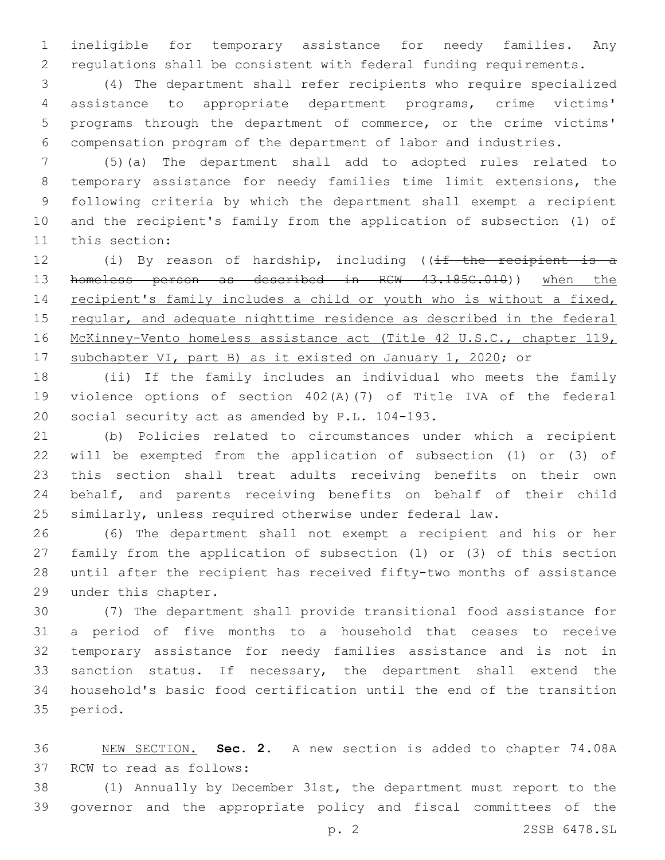ineligible for temporary assistance for needy families. Any regulations shall be consistent with federal funding requirements.

 (4) The department shall refer recipients who require specialized assistance to appropriate department programs, crime victims' programs through the department of commerce, or the crime victims' compensation program of the department of labor and industries.

 (5)(a) The department shall add to adopted rules related to temporary assistance for needy families time limit extensions, the following criteria by which the department shall exempt a recipient and the recipient's family from the application of subsection (1) of 11 this section:

12 (i) By reason of hardship, including ((if the recipient is a homeless person as described in RCW 43.185C.010)) when the 14 recipient's family includes a child or youth who is without a fixed, 15 regular, and adequate nighttime residence as described in the federal McKinney-Vento homeless assistance act (Title 42 U.S.C., chapter 119, 17 subchapter VI, part B) as it existed on January 1, 2020; or

 (ii) If the family includes an individual who meets the family violence options of section 402(A)(7) of Title IVA of the federal 20 social security act as amended by P.L. 104-193.

 (b) Policies related to circumstances under which a recipient will be exempted from the application of subsection (1) or (3) of this section shall treat adults receiving benefits on their own behalf, and parents receiving benefits on behalf of their child similarly, unless required otherwise under federal law.

 (6) The department shall not exempt a recipient and his or her family from the application of subsection (1) or (3) of this section until after the recipient has received fifty-two months of assistance 29 under this chapter.

 (7) The department shall provide transitional food assistance for a period of five months to a household that ceases to receive temporary assistance for needy families assistance and is not in sanction status. If necessary, the department shall extend the household's basic food certification until the end of the transition 35 period.

 NEW SECTION. **Sec. 2.** A new section is added to chapter 74.08A 37 RCW to read as follows:

 (1) Annually by December 31st, the department must report to the governor and the appropriate policy and fiscal committees of the